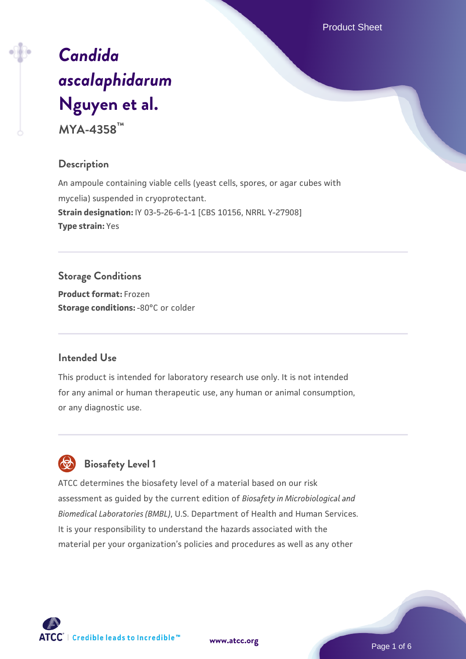Product Sheet

# *[Candida](https://www.atcc.org/products/mya-4358) [ascalaphidarum](https://www.atcc.org/products/mya-4358)* **[Nguyen et al.](https://www.atcc.org/products/mya-4358)**

**MYA-4358™**

#### **Description**

An ampoule containing viable cells (yeast cells, spores, or agar cubes with mycelia) suspended in cryoprotectant. **Strain designation:** IY 03-5-26-6-1-1 [CBS 10156, NRRL Y-27908] **Type strain:** Yes

#### **Storage Conditions**

**Product format:** Frozen **Storage conditions: -80°C or colder** 

#### **Intended Use**

This product is intended for laboratory research use only. It is not intended for any animal or human therapeutic use, any human or animal consumption, or any diagnostic use.



## **Biosafety Level 1**

ATCC determines the biosafety level of a material based on our risk assessment as guided by the current edition of *Biosafety in Microbiological and Biomedical Laboratories (BMBL)*, U.S. Department of Health and Human Services. It is your responsibility to understand the hazards associated with the material per your organization's policies and procedures as well as any other

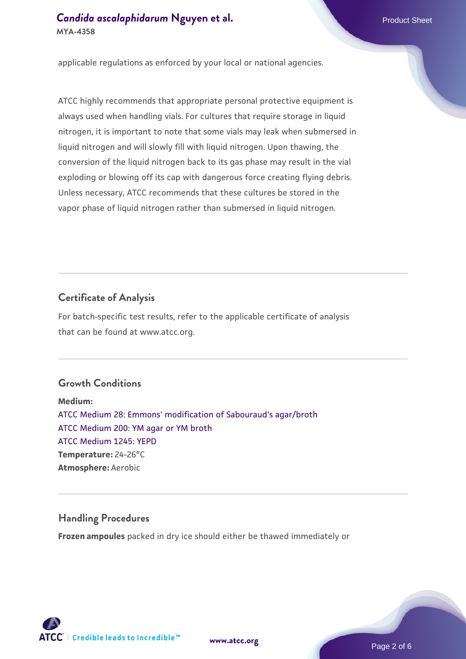applicable regulations as enforced by your local or national agencies.

ATCC highly recommends that appropriate personal protective equipment is always used when handling vials. For cultures that require storage in liquid nitrogen, it is important to note that some vials may leak when submersed in liquid nitrogen and will slowly fill with liquid nitrogen. Upon thawing, the conversion of the liquid nitrogen back to its gas phase may result in the vial exploding or blowing off its cap with dangerous force creating flying debris. Unless necessary, ATCC recommends that these cultures be stored in the vapor phase of liquid nitrogen rather than submersed in liquid nitrogen.

## **Certificate of Analysis**

For batch-specific test results, refer to the applicable certificate of analysis that can be found at www.atcc.org.

## **Growth Conditions**

**Medium:**  [ATCC Medium 28: Emmons' modification of Sabouraud's agar/broth](https://www.atcc.org/-/media/product-assets/documents/microbial-media-formulations/2/8/atcc-medium-28.pdf?rev=0da0c58cc2a343eeae735016b70809bb) [ATCC Medium 200: YM agar or YM broth](https://www.atcc.org/-/media/product-assets/documents/microbial-media-formulations/2/0/0/atcc-medium-200.pdf?rev=ac40fd74dc13433a809367b0b9da30fc) [ATCC Medium 1245: YEPD](https://www.atcc.org/-/media/product-assets/documents/microbial-media-formulations/1/2/4/5/atcc-medium-1245.pdf?rev=705ca55d1b6f490a808a965d5c072196) **Temperature:** 24-26°C **Atmosphere:** Aerobic

## **Handling Procedures**

**Frozen ampoules** packed in dry ice should either be thawed immediately or



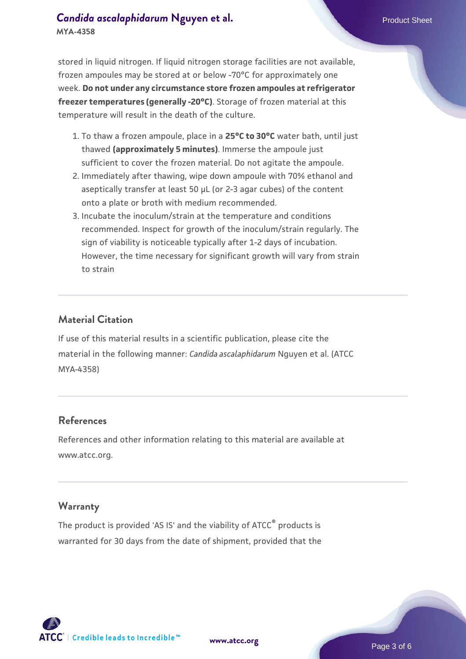stored in liquid nitrogen. If liquid nitrogen storage facilities are not available, frozen ampoules may be stored at or below -70°C for approximately one week. **Do not under any circumstance store frozen ampoules at refrigerator freezer temperatures (generally -20°C)**. Storage of frozen material at this temperature will result in the death of the culture.

- 1. To thaw a frozen ampoule, place in a **25°C to 30°C** water bath, until just thawed **(approximately 5 minutes)**. Immerse the ampoule just sufficient to cover the frozen material. Do not agitate the ampoule.
- 2. Immediately after thawing, wipe down ampoule with 70% ethanol and aseptically transfer at least 50 µL (or 2-3 agar cubes) of the content onto a plate or broth with medium recommended.
- 3. Incubate the inoculum/strain at the temperature and conditions recommended. Inspect for growth of the inoculum/strain regularly. The sign of viability is noticeable typically after 1-2 days of incubation. However, the time necessary for significant growth will vary from strain to strain

#### **Material Citation**

If use of this material results in a scientific publication, please cite the material in the following manner: *Candida ascalaphidarum* Nguyen et al. (ATCC MYA-4358)

#### **References**

References and other information relating to this material are available at www.atcc.org.

#### **Warranty**

The product is provided 'AS IS' and the viability of ATCC® products is warranted for 30 days from the date of shipment, provided that the



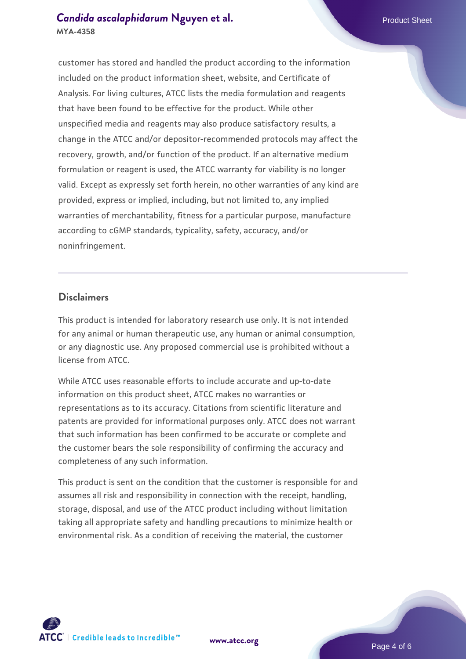customer has stored and handled the product according to the information included on the product information sheet, website, and Certificate of Analysis. For living cultures, ATCC lists the media formulation and reagents that have been found to be effective for the product. While other unspecified media and reagents may also produce satisfactory results, a change in the ATCC and/or depositor-recommended protocols may affect the recovery, growth, and/or function of the product. If an alternative medium formulation or reagent is used, the ATCC warranty for viability is no longer valid. Except as expressly set forth herein, no other warranties of any kind are provided, express or implied, including, but not limited to, any implied warranties of merchantability, fitness for a particular purpose, manufacture according to cGMP standards, typicality, safety, accuracy, and/or noninfringement.

#### **Disclaimers**

This product is intended for laboratory research use only. It is not intended for any animal or human therapeutic use, any human or animal consumption, or any diagnostic use. Any proposed commercial use is prohibited without a license from ATCC.

While ATCC uses reasonable efforts to include accurate and up-to-date information on this product sheet, ATCC makes no warranties or representations as to its accuracy. Citations from scientific literature and patents are provided for informational purposes only. ATCC does not warrant that such information has been confirmed to be accurate or complete and the customer bears the sole responsibility of confirming the accuracy and completeness of any such information.

This product is sent on the condition that the customer is responsible for and assumes all risk and responsibility in connection with the receipt, handling, storage, disposal, and use of the ATCC product including without limitation taking all appropriate safety and handling precautions to minimize health or environmental risk. As a condition of receiving the material, the customer



**[www.atcc.org](http://www.atcc.org)**

Page 4 of 6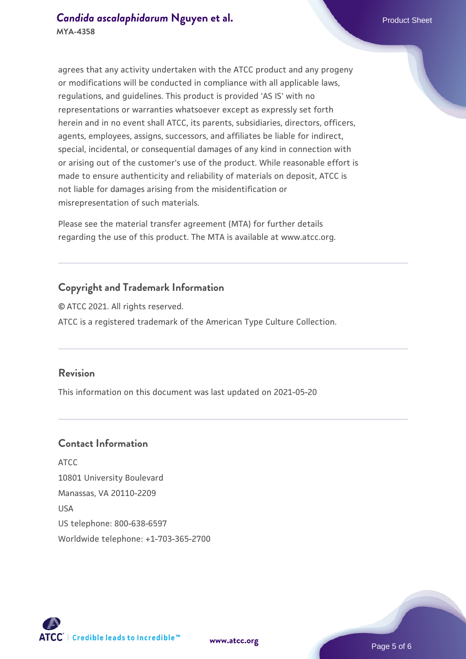agrees that any activity undertaken with the ATCC product and any progeny or modifications will be conducted in compliance with all applicable laws, regulations, and guidelines. This product is provided 'AS IS' with no representations or warranties whatsoever except as expressly set forth herein and in no event shall ATCC, its parents, subsidiaries, directors, officers, agents, employees, assigns, successors, and affiliates be liable for indirect, special, incidental, or consequential damages of any kind in connection with or arising out of the customer's use of the product. While reasonable effort is made to ensure authenticity and reliability of materials on deposit, ATCC is not liable for damages arising from the misidentification or misrepresentation of such materials.

Please see the material transfer agreement (MTA) for further details regarding the use of this product. The MTA is available at www.atcc.org.

## **Copyright and Trademark Information**

© ATCC 2021. All rights reserved. ATCC is a registered trademark of the American Type Culture Collection.

#### **Revision**

This information on this document was last updated on 2021-05-20

## **Contact Information**

ATCC 10801 University Boulevard Manassas, VA 20110-2209 USA US telephone: 800-638-6597 Worldwide telephone: +1-703-365-2700